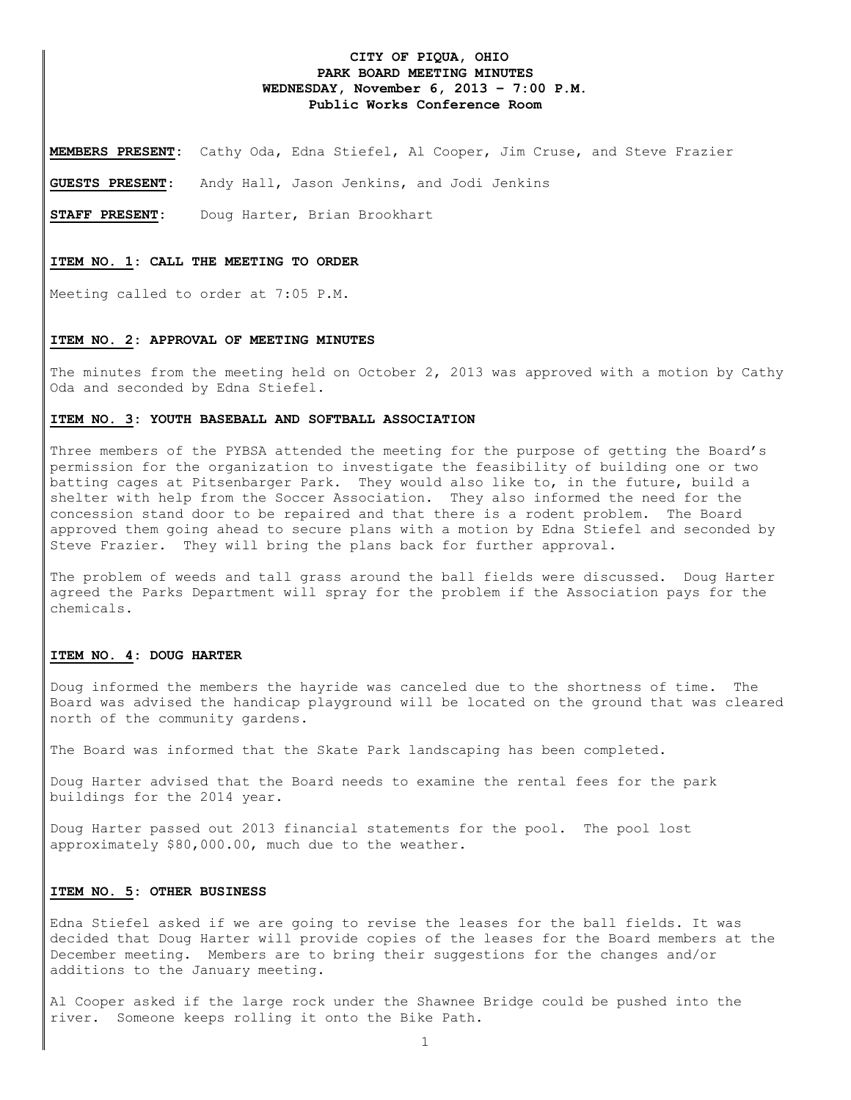# **CITY OF PIQUA, OHIO PARK BOARD MEETING MINUTES WEDNESDAY, November 6, 2013 – 7:00 P.M. Public Works Conference Room**

**MEMBERS PRESENT:** Cathy Oda, Edna Stiefel, Al Cooper, Jim Cruse, and Steve Frazier

**GUESTS PRESENT**: Andy Hall, Jason Jenkins, and Jodi Jenkins

**STAFF PRESENT:** Doug Harter, Brian Brookhart

#### **ITEM NO. 1: CALL THE MEETING TO ORDER**

Meeting called to order at 7:05 P.M.

#### **ITEM NO. 2: APPROVAL OF MEETING MINUTES**

The minutes from the meeting held on October 2, 2013 was approved with a motion by Cathy Oda and seconded by Edna Stiefel.

### **ITEM NO. 3: YOUTH BASEBALL AND SOFTBALL ASSOCIATION**

Three members of the PYBSA attended the meeting for the purpose of getting the Board's permission for the organization to investigate the feasibility of building one or two batting cages at Pitsenbarger Park. They would also like to, in the future, build a shelter with help from the Soccer Association. They also informed the need for the concession stand door to be repaired and that there is a rodent problem. The Board approved them going ahead to secure plans with a motion by Edna Stiefel and seconded by Steve Frazier. They will bring the plans back for further approval.

The problem of weeds and tall grass around the ball fields were discussed. Doug Harter agreed the Parks Department will spray for the problem if the Association pays for the chemicals.

### **ITEM NO. 4: DOUG HARTER**

Doug informed the members the hayride was canceled due to the shortness of time. The Board was advised the handicap playground will be located on the ground that was cleared north of the community gardens.

The Board was informed that the Skate Park landscaping has been completed.

Doug Harter advised that the Board needs to examine the rental fees for the park buildings for the 2014 year.

Doug Harter passed out 2013 financial statements for the pool. The pool lost approximately \$80,000.00, much due to the weather.

### **ITEM NO. 5: OTHER BUSINESS**

Edna Stiefel asked if we are going to revise the leases for the ball fields. It was decided that Doug Harter will provide copies of the leases for the Board members at the December meeting. Members are to bring their suggestions for the changes and/or additions to the January meeting.

Al Cooper asked if the large rock under the Shawnee Bridge could be pushed into the river. Someone keeps rolling it onto the Bike Path.